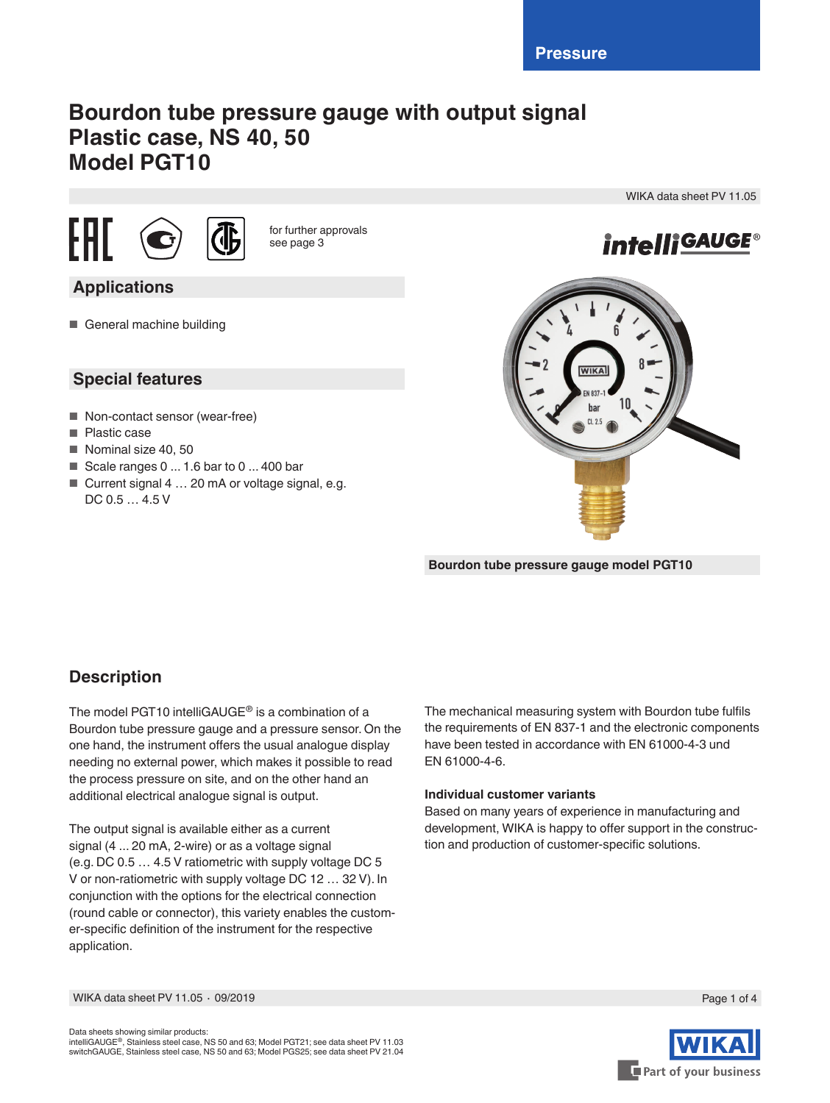# **Bourdon tube pressure gauge with output signal Plastic case, NS 40, 50 Model PGT10**





for further approvals see page 3

# **Applications**

■ General machine building

### **Special features**

- Non-contact sensor (wear-free)
- Plastic case
- Nominal size 40, 50
- Scale ranges 0 ... 1.6 bar to 0 ... 400 bar
- Current signal 4 ... 20 mA or voltage signal, e.g. DC 0.5 … 4.5 V



WIKA data sheet PV 11.05

**Bourdon tube pressure gauge model PGT10**

### **Description**

The model PGT10 intelliGAUGE® is a combination of a Bourdon tube pressure gauge and a pressure sensor. On the one hand, the instrument offers the usual analogue display needing no external power, which makes it possible to read the process pressure on site, and on the other hand an additional electrical analogue signal is output.

The output signal is available either as a current signal (4 ... 20 mA, 2-wire) or as a voltage signal (e.g. DC 0.5 … 4.5 V ratiometric with supply voltage DC 5 V or non-ratiometric with supply voltage DC 12 … 32 V). In conjunction with the options for the electrical connection (round cable or connector), this variety enables the customer-specific definition of the instrument for the respective application.

The mechanical measuring system with Bourdon tube fulfils the requirements of EN 837-1 and the electronic components have been tested in accordance with EN 61000-4-3 und EN 61000-4-6.

### **Individual customer variants**

Based on many years of experience in manufacturing and development, WIKA is happy to offer support in the construction and production of customer-specific solutions.



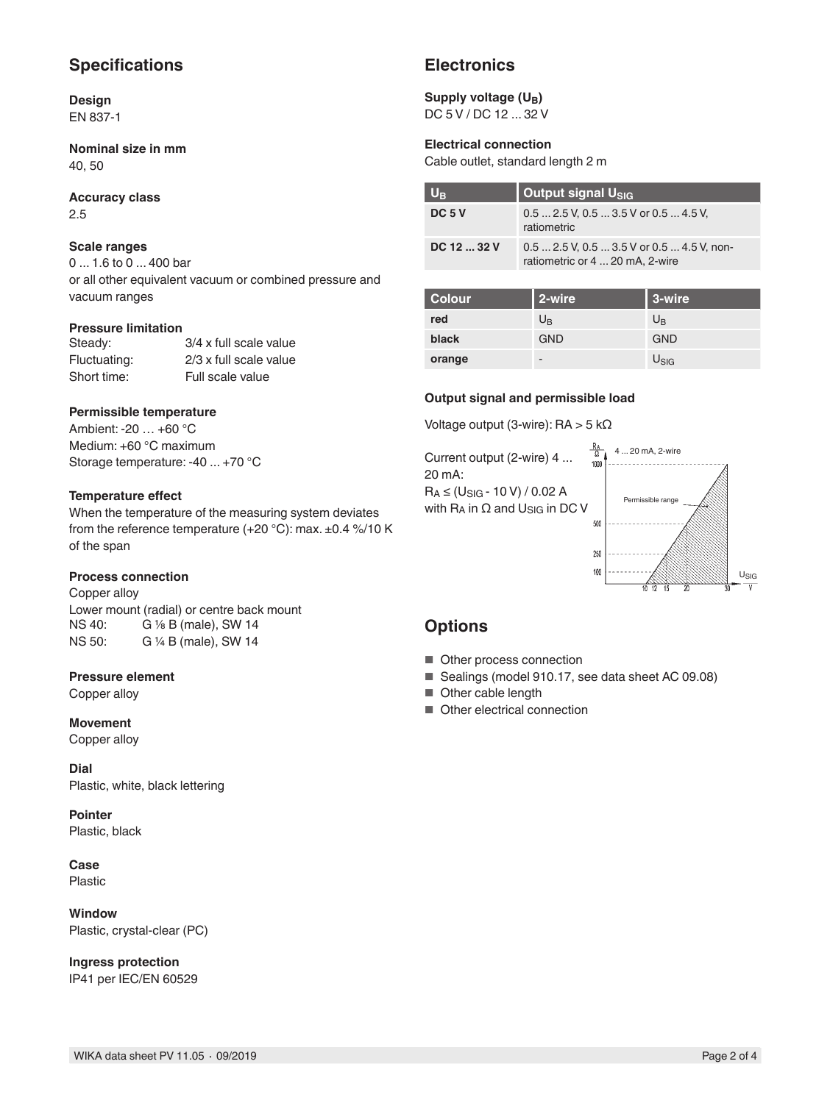### **Specifications**

**Design** EN 837-1

**Nominal size in mm** 40, 50

**Accuracy class** 2.5

### **Scale ranges**

0 ... 1.6 to 0 ... 400 bar or all other equivalent vacuum or combined pressure and vacuum ranges

### **Pressure limitation**

| Steady:      | 3/4 x full scale value |
|--------------|------------------------|
| Fluctuating: | 2/3 x full scale value |
| Short time:  | Full scale value       |

### **Permissible temperature**

Ambient: -20 … +60 °C Medium: +60 °C maximum Storage temperature: -40 ... +70 °C

### **Temperature effect**

When the temperature of the measuring system deviates from the reference temperature (+20 °C): max. ±0.4 %/10 K of the span

### **Process connection**

Copper alloy

Lower mount (radial) or centre back mount<br>NS 40:  $G \frac{1}{8} B$  (male). SW 14 G 1/8 B (male), SW 14 NS 50: G ¼ B (male), SW 14

### **Pressure element**

Copper alloy

**Movement** Copper alloy

**Dial** Plastic, white, black lettering

**Pointer** Plastic, black

**Case**

Plastic

**Window** Plastic, crystal-clear (PC)

**Ingress protection** IP41 per IEC/EN 60529

### **Electronics**

#### Supply voltage (U<sub>B</sub>) DC 5 V / DC 12 ... 32 V

### **Electrical connection**

Cable outlet, standard length 2 m

| $U_{\rm B}$       | Output signal U <sub>SIG</sub>                                                |
|-------------------|-------------------------------------------------------------------------------|
| DC <sub>5</sub> V | $0.52.5$ V, $0.53.5$ V or $0.54.5$ V,<br>ratiometric                          |
| DC 12  32 V       | $0.52.5$ V, $0.53.5$ V or $0.54.5$ V, non-<br>ratiometric or 4  20 mA, 2-wire |

| <b>Colour</b> | 2-wire      | 3-wire           |
|---------------|-------------|------------------|
| red           | $U_{\rm B}$ | $U_{\rm B}$      |
| black         | <b>GND</b>  | <b>GND</b>       |
| orange        | -           | $U_{\text{SIG}}$ |

### **Output signal and permissible load**

Voltage output (3-wire): RA > 5 kΩ

 $\frac{R_A}{\Omega}$  4 ... 20 mA, 2-wire Current output (2-wire) 4 ... 1000 20 mA:  $R_A \leq (U_{SIG} - 10 V) / 0.02 A$ Permissible range with  $R_A$  in  $\Omega$  and  $U_{SIG}$  in DC V 500 250 100

### **Options**

- Other process connection
- Sealings (model 910.17, see data sheet AC 09.08)
- Other cable length
- Other electrical connection

USIG

 $\overline{u}$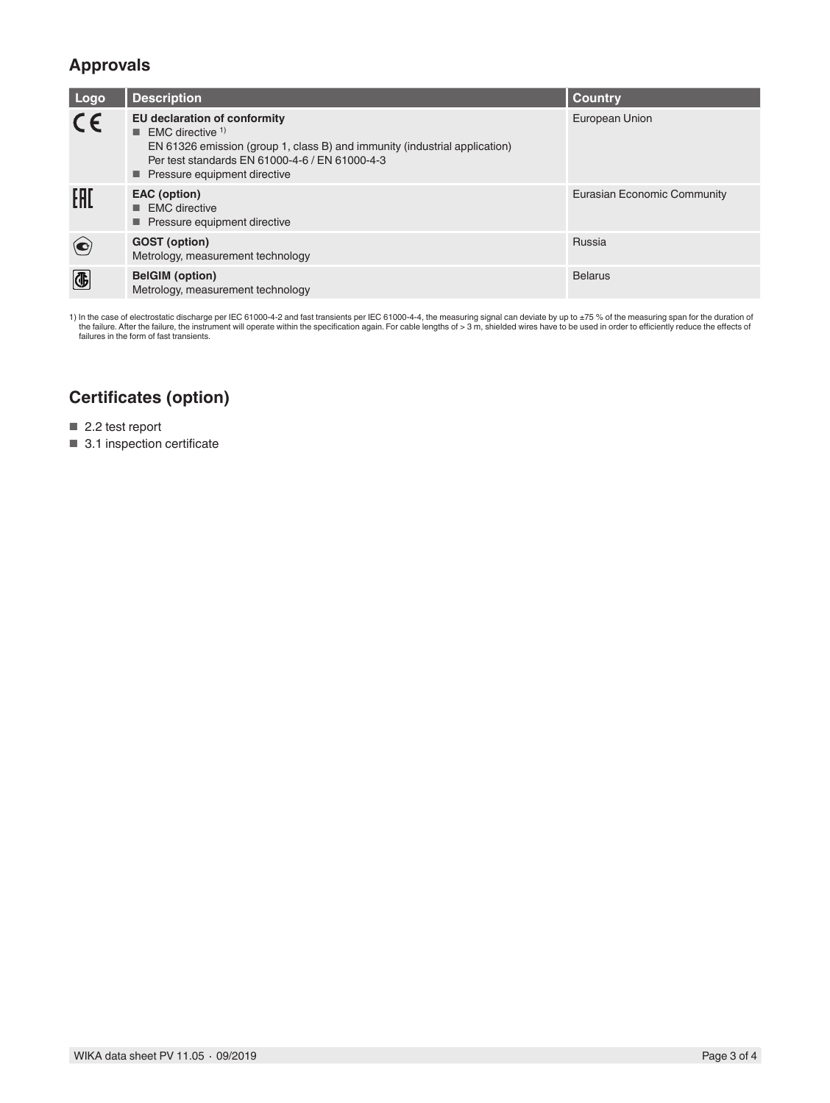### **Approvals**

| Logo                         | <b>Description</b>                                                                                                                                                                                                                           | <b>Country</b>              |
|------------------------------|----------------------------------------------------------------------------------------------------------------------------------------------------------------------------------------------------------------------------------------------|-----------------------------|
| CE                           | EU declaration of conformity<br>$\blacksquare$ EMC directive <sup>1)</sup><br>EN 61326 emission (group 1, class B) and immunity (industrial application)<br>Per test standards EN 61000-4-6 / EN 61000-4-3<br>■ Pressure equipment directive | European Union              |
| EAD                          | EAC (option)<br>$\blacksquare$ EMC directive<br>■ Pressure equipment directive                                                                                                                                                               | Eurasian Economic Community |
|                              | <b>GOST</b> (option)<br>Metrology, measurement technology                                                                                                                                                                                    | Russia                      |
| $\overline{\textcircled{4}}$ | <b>BelGIM</b> (option)<br>Metrology, measurement technology                                                                                                                                                                                  | <b>Belarus</b>              |

1) In the case of electrostatic discharge per IEC 61000-4-2 and fast transients per IEC 61000-4-4, the measuring signal can deviate by up to ±75 % of the measuring span for the duration of<br>the failure. After the failure,

# **Certificates (option)**

■ 2.2 test report

■ 3.1 inspection certificate